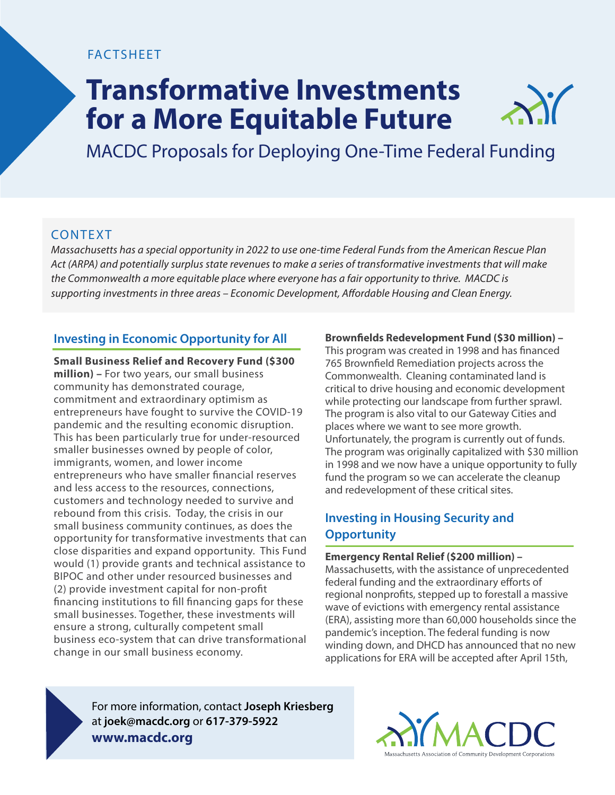## **FACTSHEET**

# **Transformative Investments for a More Equitable Future**

MACDC Proposals for Deploying One-Time Federal Funding

## CONTEXT

*Massachusetts has a special opportunity in 2022 to use one-time Federal Funds from the American Rescue Plan Act (ARPA) and potentially surplus state revenues to make a series of transformative investments that will make the Commonwealth a more equitable place where everyone has a fair opportunity to thrive. MACDC is*  supporting investments in three areas – Economic Development, Affordable Housing and Clean Energy.

## **Investing in Economic Opportunity for All**

**Small Business Relief and Recovery Fund (\$300 million) –** For two years, our small business community has demonstrated courage, commitment and extraordinary optimism as entrepreneurs have fought to survive the COVID-19 pandemic and the resulting economic disruption. This has been particularly true for under-resourced smaller businesses owned by people of color, immigrants, women, and lower income entrepreneurs who have smaller financial reserves and less access to the resources, connections, customers and technology needed to survive and rebound from this crisis. Today, the crisis in our small business community continues, as does the opportunity for transformative investments that can close disparities and expand opportunity. This Fund would (1) provide grants and technical assistance to BIPOC and other under resourced businesses and (2) provide investment capital for non-profit financing institutions to fill financing gaps for these small businesses. Together, these investments will ensure a strong, culturally competent small business eco-system that can drive transformational change in our small business economy.

### **Brownfields Redevelopment Fund (\$30 million) -**

This program was created in 1998 and has financed 765 Brownfield Remediation projects across the Commonwealth. Cleaning contaminated land is critical to drive housing and economic development while protecting our landscape from further sprawl. The program is also vital to our Gateway Cities and places where we want to see more growth. Unfortunately, the program is currently out of funds. The program was originally capitalized with \$30 million in 1998 and we now have a unique opportunity to fully fund the program so we can accelerate the cleanup and redevelopment of these critical sites.

## **Investing in Housing Security and Opportunity**

#### **Emergency Rental Relief (\$200 million) –**

Massachusetts, with the assistance of unprecedented federal funding and the extraordinary efforts of regional nonprofits, stepped up to forestall a massive wave of evictions with emergency rental assistance (ERA), assisting more than 60,000 households since the pandemic's inception. The federal funding is now winding down, and DHCD has announced that no new applications for ERA will be accepted after April 15th,

For more information, contact **Joseph Kriesberg** at **joek@macdc.org** or **617-379-5922 www.macdc.org**